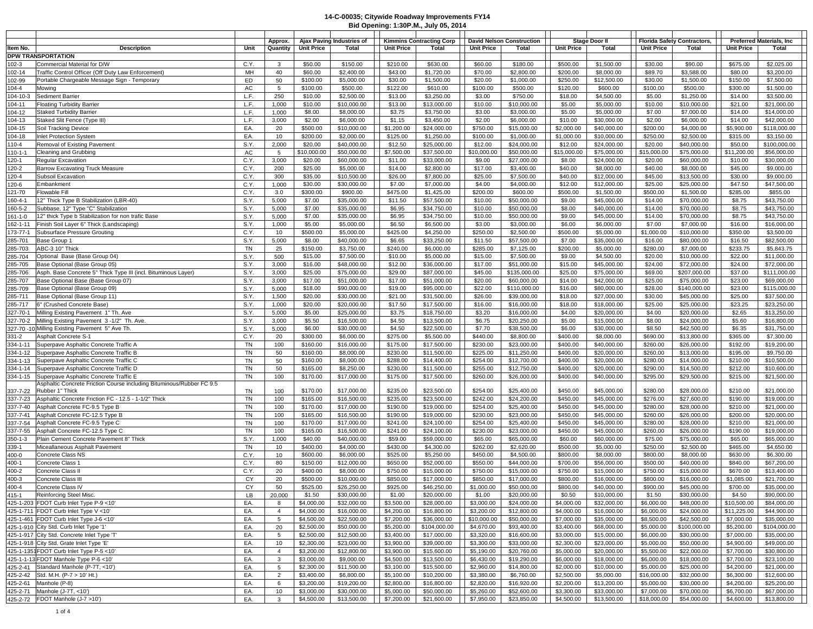| Bid Opening: 1:30P.M., July 05, 2014 |                                                                                                  |                          |                          |                            |                                 |                             |                                  |                             |                          |                            |                                    |                             |                          |                                  |  |
|--------------------------------------|--------------------------------------------------------------------------------------------------|--------------------------|--------------------------|----------------------------|---------------------------------|-----------------------------|----------------------------------|-----------------------------|--------------------------|----------------------------|------------------------------------|-----------------------------|--------------------------|----------------------------------|--|
|                                      |                                                                                                  | Approx.                  |                          | Aiax Paving Industries of  | <b>Kimmins Contracting Corp</b> |                             | <b>David Nelson Construction</b> |                             | <b>Stage Door II</b>     |                            | <b>Florida Safety Contractors.</b> |                             |                          | <b>Preferred Materials, Inc.</b> |  |
| ltem No.                             | <b>Description</b><br>Unit                                                                       | Quantity                 | <b>Unit Price</b>        | Total                      | <b>Unit Price</b>               | Total                       | <b>Unit Price</b>                | Total                       | <b>Unit Price</b>        | Total                      | <b>Unit Price</b>                  | Total                       | <b>Unit Price</b>        | Total                            |  |
|                                      | <b>DPW TRANSPORTATION</b>                                                                        |                          |                          |                            |                                 |                             |                                  |                             |                          |                            |                                    |                             |                          |                                  |  |
| 102-3                                | Commercial Material for D/W<br>C.Y.                                                              | 3                        | \$50.00                  | \$150.00                   | \$210.00                        | \$630.00                    | \$60.00                          | \$180.00                    | \$500.00                 | \$1,500.00                 | \$30.00                            | \$90.00                     | \$675.00                 | \$2,025.00                       |  |
| 102-14                               | MH<br>Traffic Control Officer (Off Duty Law Enforcement)                                         | 40                       | \$60.00                  | \$2,400.00                 | \$43.00                         | \$1,720.00                  | \$70.00                          | \$2,800.00                  | \$200.00                 | \$8,000.00                 | \$89.70                            | \$3,588.00                  | \$80.00                  | \$3,200.00                       |  |
| 102-99                               | ED<br>Portable Chargeable Message Sign - Temporary                                               | 50                       | \$100.00                 | \$5,000.00                 | \$30.00                         | \$1,500.00                  | \$20.00                          | \$1,000.00                  | \$250.00                 | \$12,500.00                | \$30.00                            | \$1,500.00                  | \$150.00                 | \$7,500.00                       |  |
| $104 - 4$                            | AC<br>Mowing                                                                                     | 5                        | \$100.00                 | \$500.00                   | \$122.00                        | \$610.00                    | \$100.00                         | \$500.00                    | \$120.00                 | \$600.00                   | \$100.00                           | \$500.00                    | \$300.00                 | \$1,500.00                       |  |
| 104-10-3                             | Sediment Barrier<br>L.F.                                                                         | 250                      | \$10.00                  | \$2,500.00                 | \$13.00                         | \$3,250.00                  | \$3.00                           | \$750.00                    | \$18.00                  | \$4,500.00                 | \$5.00                             | \$1,250.00                  | \$14.00                  | \$3,500.00                       |  |
| 104-11                               | L.F.<br><b>Floating Turbidity Barrier</b>                                                        | 1,000                    | \$10.00                  | \$10,000.00                | \$13.00                         | \$13,000.00                 | \$10.00                          | \$10,000.00                 | \$5.00                   | \$5,000.00                 | \$10.00                            | \$10,000.00                 | \$21.00                  | \$21,000.00                      |  |
| 104-12                               | L.F.<br><b>Staked Turbidity Barrier</b>                                                          | 1,000                    | \$8.00                   | \$8,000.00                 | \$3.75                          | \$3,750.00                  | \$3.00                           | \$3,000.00                  | \$5.00                   | \$5,000.00                 | \$7.00                             | \$7,000.00                  | \$14.00                  | \$14,000.00                      |  |
| 104-13                               | L.F.<br>Staked Slit Fence (Type III)                                                             | 3,000                    | \$2.00                   | \$6,000.00                 | \$1.15                          | \$3,450.00                  | \$2.00                           | \$6,000.00                  | \$10.00                  | \$30,000.00                | \$2.00                             | \$6,000.00                  | \$14.00                  | \$42,000.00                      |  |
| 104-15                               | EA.<br>Soil Tracking Device                                                                      | 20                       | \$500.00                 | \$10,000.00                | \$1,200.00                      | \$24,000.00                 | \$750.00                         | \$15,000.00                 | \$2,000.00               | \$40,000.00                | \$200.00                           | \$4,000.00                  | \$5,900.00               | \$118,000.00                     |  |
| 104-18                               | EA.<br><b>Inlet Protection System</b>                                                            | 10                       | \$200.00                 | \$2,000.00                 | \$125.00                        | \$1,250.00                  | \$100.00                         | \$1,000.00                  | \$1,000.00               | \$10,000.00                | \$250.00                           | \$2,500.00                  | \$315.00                 | \$3,150.00                       |  |
| 110-4                                | Removal of Existing Pavement<br>S.Y.                                                             | 2,000                    | \$20.00                  | \$40,000.00                | \$12.50                         | \$25,000.00<br>\$37,500.00  | \$12.00                          | \$24,000.00<br>\$50,000.00  | \$12.00                  | \$24,000.00                | \$20.00                            | \$40,000.00<br>\$75,000.00  | \$50.00                  | \$100,000.00                     |  |
| $110 - 1 - 1$<br>120-1               | AC<br><b>Cleaning and Grubbing</b><br>C.Y.<br><b>Regular Excavation</b>                          | $5\overline{5}$<br>3,000 | \$10,000.00<br>\$20.00   | \$50,000.00<br>\$60,000.00 | \$7,500.00<br>\$11.00           | \$33,000.00                 | \$10,000.00<br>\$9.00            | \$27,000.00                 | \$15,000.00<br>\$8.00    | \$75,000.00<br>\$24,000.00 | \$15,000.00<br>\$20.00             | \$60,000.00                 | \$11,200.00<br>\$10.00   | \$56,000.00<br>\$30,000.00       |  |
| 120-2                                | C.Y.<br><b>Barrow Excavating Truck Measure</b>                                                   | 200                      | \$25.00                  | \$5,000.00                 | \$14.00                         | \$2,800.00                  | \$17.00                          | \$3,400.00                  | \$40.00                  | \$8,000.00                 | \$40.00                            | \$8,000.00                  | \$45.00                  | \$9,000.00                       |  |
| 120-4                                | Subsoil Excavation<br>C.Y.                                                                       | 300                      | \$35.00                  | \$10,500.00                | \$26.00                         | \$7,800.00                  | \$25.00                          | \$7,500.00                  | \$40.00                  | \$12,000.00                | \$45.00                            | \$13,500.00                 | \$30.00                  | \$9,000.00                       |  |
| 120-6                                | C.Y.<br>Embankment                                                                               | 1,000                    | \$30.00                  | \$30,000.00                | \$7.00                          | \$7,000.00                  | \$4.00                           | \$4,000.00                  | \$12.00                  | \$12,000.00                | \$25.00                            | \$25,000.00                 | \$47.50                  | \$47,500.00                      |  |
| 121-70                               | C.Y.<br><b>Flowable Fill</b>                                                                     | 3.0                      | \$300.00                 | \$900.00                   | \$475.00                        | \$1,425.00                  | \$200.00                         | \$600.00                    | \$500.00                 | \$1,500.00                 | \$500.00                           | \$1,500.00                  | \$285.00                 | \$855.00                         |  |
| 160-4-1                              | 12" Thick Type B Stabilization (LBR-40)<br>S.Y.                                                  | 5,000                    | \$7.00                   | \$35,000.00                | \$11.50                         | \$57,500.00                 | \$10.00                          | \$50,000.00                 | \$9.00                   | \$45,000.00                | \$14.00                            | \$70,000.00                 | \$8.75                   | \$43,750.00                      |  |
| 160-5-2                              | Subbase, 12" Type "C" Stabilization<br>S.Y.                                                      | 5,000                    | \$7.00                   | \$35,000.00                | \$6.95                          | \$34,750.00                 | \$10.00                          | \$50,000.00                 | \$8.00                   | \$40,000.00                | \$14.00                            | \$70,000.00                 | \$8.75                   | \$43,750.00                      |  |
| $161 - 1 - 0$                        | 12" thick Type b Stabilization for non trafic Base<br>S.Y.                                       | 5,000                    | \$7.00                   | \$35,000.00                | \$6.95                          | \$34,750.00                 | \$10.00                          | \$50,000.00                 | \$9.00                   | \$45,000.00                | \$14.00                            | \$70,000.00                 | \$8.75                   | \$43,750.00                      |  |
| 162-1-11                             | S.Y.<br>Finish Soil Layer 6" Thick (Landscaping)                                                 | 1,000                    | \$5.00                   | \$5,000.00                 | \$6.50                          | \$6,500.00                  | \$3.00                           | \$3,000.00                  | \$6.00                   | \$6,000.00                 | \$7.00                             | \$7,000.00                  | \$16.00                  | \$16,000.00                      |  |
| 173-77-1                             | C.Y.<br>Subsurface Pressure Grouting                                                             | 10                       | \$500.00                 | \$5,000.00                 | \$425.00                        | \$4,250.00                  | \$250.00                         | \$2,500.00                  | \$500.00                 | \$5,000.00                 | \$1,000.00                         | \$10,000.00                 | \$350.00                 | \$3,500.00                       |  |
| 285-701                              | S.Y.<br>Base Group 1                                                                             | 5,000                    | \$8.00                   | \$40,000.00                | \$6.65                          | \$33,250.00                 | \$11.50                          | \$57,500.00                 | \$7.00                   | \$35,000.00                | \$16.00                            | \$80,000.00                 | \$16.50                  | \$82,500.00                      |  |
| 285-703                              | <b>TN</b><br>ABC-3 10" Thick                                                                     | 25                       | \$150.00                 | \$3,750.00                 | \$240.00                        | \$6,000.00                  | \$285.00                         | \$7,125.00                  | \$200.00                 | \$5,000.00                 | \$280.00                           | \$7,000.00                  | \$233.75                 | \$5,843.75                       |  |
| 285-704                              | Optional Base (Base Group 04)<br>S.Y.                                                            | 500                      | \$15.00                  | \$7,500.00                 | \$10.00                         | \$5,000.00                  | \$15.00                          | \$7,500.00                  | \$9.00                   | \$4,500.00                 | \$20.00                            | \$10,000.00                 | \$22.00                  | \$11,000.00                      |  |
| 285-705                              | S.Y.<br>Base Optional (Base Group 05)                                                            | 3,000                    | \$16.00                  | \$48,000.00                | \$12.00                         | \$36,000.00                 | \$17.00                          | \$51,000.00                 | \$15.00                  | \$45,000.00                | \$24.00                            | \$72,000.00                 | \$24.00                  | \$72,000.00                      |  |
| 285-706                              | S.Y.<br>Asph. Base Concrete 5" Thick Type III (incl. Bituminous Layer)                           | 3,000                    | \$25.00                  | \$75,000.00                | \$29.00                         | \$87,000.00                 | \$45.00                          | \$135,000.00                | \$25.00                  | \$75,000.00                | \$69.00                            | \$207,000.00                | \$37.00                  | \$111,000.00                     |  |
| 285-707                              | S.Y.<br>Base Optional Base (Base Group 07)                                                       | 3,000                    | \$17.00                  | \$51,000.00                | \$17.00                         | \$51,000.00                 | \$20.00                          | \$60,000.00                 | \$14.00                  | \$42,000.00                | \$25.00                            | \$75,000.00                 | \$23.00                  | \$69,000.00                      |  |
| 285-709                              | S.Y.<br>Base Optional (Base Group 09)<br>S.Y.<br>Base Optional (Base Group 11)                   | 5,000<br>1,500           | \$18.00<br>\$20.00       | \$90,000.00<br>\$30,000.00 | \$19.00<br>\$21.00              | \$95,000.00<br>\$31,500.00  | \$22.00<br>\$26.00               | \$110,000.00<br>\$39,000.00 | \$16.00<br>\$18.00       | \$80,000.00<br>\$27,000.00 | \$28.00<br>\$30.00                 | \$140,000.00<br>\$45,000.00 | \$23.00<br>\$25.00       | \$115,000.00<br>\$37,500.00      |  |
| 285-711<br>285-717                   | 6" (Crushed Concrete Base)<br>S.Y.                                                               | 1,000                    | \$20.00                  | \$20,000.00                | \$17.50                         | \$17,500.00                 | \$16.00                          | \$16,000.00                 | \$18.00                  | \$18,000.00                | \$25.00                            | \$25,000.00                 | \$23.25                  | \$23,250.00                      |  |
| 327-70-1                             | S.Y.<br>Milling Existing Pavement 1" Th. Ave                                                     | 5,000                    | \$5.00                   | \$25,000.00                | \$3.75                          | \$18,750.00                 | \$3.20                           | \$16,000.00                 | \$4.00                   | \$20,000.00                | \$4.00                             | \$20,000.00                 | \$2.65                   | \$13,250.00                      |  |
| 327-70-2                             | S.Y.<br>Milling Existing Pavement 3 -1/2" Th. Ave.                                               | 3,000                    | \$5.50                   | \$16,500.00                | \$4.50                          | \$13,500.00                 | \$6.75                           | \$20,250.00                 | \$5.00                   | \$15,000.00                | \$8.00                             | \$24,000.00                 | \$5.60                   | \$16,800.00                      |  |
|                                      | S.Y.<br>327-70 -10 Milling Existing Pavement 5" Ave Th                                           | 5,000                    | \$6.00                   | \$30,000.00                | \$4.50                          | \$22,500.00                 | \$7.70                           | \$38,500.00                 | \$6.00                   | \$30,000.00                | \$8.50                             | \$42,500.00                 | \$6.35                   | \$31,750.00                      |  |
| $331 - 2$                            | Asphalt Concrete S-1<br>C.Y.                                                                     | 20                       | \$300.00                 | \$6,000.00                 | \$275.00                        | \$5,500.00                  | \$440.00                         | \$8,800.00                  | \$400.00                 | \$8,000.00                 | \$690.00                           | \$13,800.00                 | \$365.00                 | \$7,300.00                       |  |
| 334-1-11                             | <b>TN</b><br>Superpave Asphaltic Concrete Traffic A                                              | 100                      | \$160.00                 | \$16,000.00                | \$175.00                        | \$17,500.00                 | \$230.00                         | \$23,000.00                 | \$400.00                 | \$40,000.00                | \$260.00                           | \$26,000.00                 | \$192.00                 | \$19,200.00                      |  |
| 334-1-12                             | TN<br>Superpave Asphaltic Concrete Traffic B                                                     | 50                       | \$160.00                 | \$8,000.00                 | \$230.00                        | \$11,500.00                 | \$225.00                         | \$11,250.00                 | \$400.00                 | \$20,000.00                | \$260.00                           | \$13,000.00                 | \$195.00                 | \$9,750.00                       |  |
| 334-1-13                             | <b>TN</b><br>Superpave Asphaltic Concrete Traffic C                                              | 50                       | \$160.00                 | \$8,000.00                 | \$288.00                        | \$14,400.00                 | \$254.00                         | \$12,700.00                 | \$400.00                 | \$20,000.00                | \$280.00                           | \$14,000.00                 | \$210.00                 | \$10,500.00                      |  |
| 334-1-14                             | <b>TN</b><br>Superpave Asphaltic Concrete Traffic D                                              | 50                       | \$165.00                 | \$8,250.00                 | \$230.00                        | \$11,500.00                 | \$255.00                         | \$12,750.00                 | \$400.00                 | \$20,000.00                | \$290.00                           | \$14,500.00                 | \$212.00                 | \$10,600.00                      |  |
| 334-1-15                             | <b>TN</b><br>Superpave Asphaltic Concrete Traffic E                                              | 100                      | \$170.00                 | \$17,000.00                | \$175.00                        | \$17,500.00                 | \$260.00                         | \$26,000.00                 | \$400.00                 | \$40,000.00                | \$295.00                           | \$29,500.00                 | \$215.00                 | \$21,500.00                      |  |
|                                      | Asphaltic Concrete Friction Course including Bituminous/Rubber FC 9.5<br>Rubber 1" Thick         |                          | \$170.00                 | \$17,000.00                | \$235.00                        | \$23,500.00                 | \$254.00                         | \$25,400.00                 | \$450.00                 | \$45,000.00                | \$280.00                           | \$28,000.00                 | \$210.00                 | \$21,000.00                      |  |
| 337-7-22<br>337-7-23                 | TN<br>Asphaltic Concrete Friction FC - 12.5 - 1-1/2" Thick<br><b>TN</b>                          | 100<br>100               | \$165.00                 | \$16,500.00                | \$235.00                        | \$23,500.00                 | \$242.00                         | \$24,200.00                 | \$450.00                 | \$45,000.00                | \$276.00                           | \$27,600.00                 | \$190.00                 | \$19,000.00                      |  |
| 337-7-40                             | <b>TN</b><br>Asphalt Concrete FC-9.5 Type B                                                      | 100                      | \$170.00                 | \$17,000.00                | \$190.00                        | \$19,000.00                 | \$254.00                         | \$25,400.00                 | \$450.00                 | \$45,000.00                | \$280.00                           | \$28,000.00                 | \$210.00                 | \$21,000.00                      |  |
| 337-7-41                             | Asphalt Concrete FC-12.5 Type B<br>TN                                                            | 100                      | \$165.00                 | \$16,500.00                | \$190.00                        | \$19,000.00                 | \$230.00                         | \$23,000.00                 | \$450.00                 | \$45,000.00                | \$260.00                           | \$26,000.00                 | \$200.00                 | \$20,000.00                      |  |
| 337-7-54                             | <b>TN</b><br>Asphalt Concrete FC-9.5 Type C                                                      | 100                      | \$170.00                 | \$17,000.00                | \$241.00                        | \$24,100.00                 | \$254.00                         | \$25,400.00                 | \$450.00                 | \$45,000.00                | \$280.00                           | \$28,000.00                 | \$210.00                 | \$21,000.00                      |  |
| 337-7-55                             | Asphalt Concrete FC-12.5 Type C<br><b>TN</b>                                                     | 100                      | \$165.00                 | \$16,500.00                | \$241.00                        | \$24,100.00                 | \$230.00                         | \$23,000.00                 | \$450.00                 | \$45,000.00                | \$260.00                           | \$26,000.00                 | \$190.00                 | \$19,000.00                      |  |
| $350 - 1 - 3$                        | Plain Cement Concrete Pavement 8" Thick<br>S.Y.                                                  | 1,000                    | \$40.00                  | \$40,000.00                | \$59.00                         | \$59,000.00                 | \$65.00                          | \$65,000.00                 | \$60.00                  | \$60,000.00                | \$75.00                            | \$75,000.00                 | \$65.00                  | \$65,000.00                      |  |
| 339-1                                | <b>TN</b><br>Miceallaneous Asphalt Pavement                                                      | 10                       | \$400.00                 | \$4,000.00                 | \$430.00                        | \$4,300.00                  | \$262.00                         | \$2,620.00                  | \$500.00                 | \$5,000.00                 | \$250.00                           | \$2,500.00                  | \$465.00                 | \$4,650.00                       |  |
| 400-0                                | C.Y.<br>Concrete Class NS                                                                        | 10                       | \$600.00                 | \$6,000.00                 | \$525.00                        | \$5,250.00                  | \$450.00                         | \$4,500.00                  | \$800.00                 | \$8,000.00                 | \$800.00                           | \$8,000.00                  | \$630.00                 | \$6,300.00                       |  |
| 400-1                                | C.Y.<br>Concrete Class 1                                                                         | 80                       | \$150.00                 | \$12,000.00                | \$650.00                        | \$52,000.00                 | \$550.00                         | \$44,000.00                 | \$700.00                 | \$56,000.00                | \$500.00                           | \$40,000.00                 | \$840.00                 | \$67,200.00                      |  |
| 400-2                                | Concrete Class II<br>C.Y.                                                                        | 20                       | \$400.00                 | \$8,000.00                 | \$750.00                        | \$15,000.00                 | \$750.00                         | \$15,000.00                 | \$750.00                 | \$15,000.00                | \$750.00                           | \$15,000.00                 | \$670.00                 | \$13,400.00                      |  |
| 400-3                                | Concrete Class III<br>CY                                                                         | 20                       | \$500.00                 | \$10,000.00                | \$850.00                        | \$17,000.00                 | \$850.00                         | \$17,000.00                 | \$800.00                 | \$16,000.00                | \$800.00                           | \$16,000.00                 | \$1,085.00               | \$21,700.00                      |  |
| 400-4                                | Concrete Class IV<br><b>CY</b>                                                                   | 50                       | \$525.00                 | \$26,250.00                | \$925.00                        | \$46,250.00                 | \$1,000.00                       | \$50,000.00                 | \$800.00                 | \$40,000.00                | \$900.00                           | \$45,000.00                 | \$700.00                 | \$35,000.00                      |  |
| 415-1                                | LB<br>Reinforcing Steel Misc.                                                                    | 20,000                   | \$1.50                   | \$30,000.00                | \$1.00                          | \$20,000.00                 | \$1.00                           | \$20,000.00                 | \$0.50                   | \$10,000.00                | \$1.50                             | \$30,000.00                 | \$4.50                   | \$90,000.00                      |  |
|                                      | 425-1-203 FDOT Curb Inlet Type P-9 <10'<br>EA.                                                   | 8                        | \$4,000.00               | \$32,000.00                | \$3,500.00                      | \$28,000.00                 | \$3,000.00                       | \$24,000.00                 | \$4,000.00               | \$32,000.00                | \$6,000.00                         | \$48,000.00                 | \$10,500.00              | \$84,000.00                      |  |
|                                      | 425-1-711 FDOT Curb Inlet Type V <10'<br>EA.                                                     | $\overline{4}$           | \$4,000.00               | \$16,000.00                | \$4,200.00                      | \$16,800.00                 | \$3,200.00                       | \$12,800.00                 | \$4,000.00               | \$16,000.00                | \$6,000.00                         | \$24,000.00                 | \$11,225.00              | \$44,900.00                      |  |
|                                      | 425-1-461 FDOT Curb Inlet Type J-6 <10'<br>EA.<br>425-1-910 City Std. Curb Inlet Type '1'<br>EA. | 5<br>20                  | \$4,500.00<br>\$2,500.00 | \$22,500.00<br>\$50,000.00 | \$7,200.00<br>\$5,200.00        | \$36,000.00<br>\$104,000.00 | \$10,000.00<br>\$4,670.00        | \$50,000.00<br>\$93,400.00  | \$7,000.00<br>\$3,400.00 | \$35,000.00<br>\$68,000.00 | \$8,500.00<br>\$5,000.00           | \$42,500.00<br>\$100,000.00 | \$7,000.00<br>\$5,200.00 | \$35,000.00<br>\$104,000.00      |  |
|                                      | 425-1-917 City Std. Concrete Inlet Type 'T'<br>EA.                                               | 5                        | \$2,500.00               | \$12,500.00                | \$3,400.00                      | \$17,000.00                 | \$3,320.00                       | \$16,600.00                 | \$3,000.00               | \$15,000.00                | \$6,000.00                         | \$30,000.00                 | \$7,000.00               | \$35,000.00                      |  |
|                                      | 425-1-918 City Std. Grate Inlet Type 'E'<br>EA.                                                  | 10                       | \$2,300.00               | \$23,000.00                | \$3,900.00                      | \$39,000.00                 | \$3,300.00                       | \$33,000.00                 | \$2,300.00               | \$23,000.00                | \$5,000.00                         | \$50,000.00                 | \$4,900.00               | \$49,000.00                      |  |
|                                      | 425-1-1351 FDOT Curb Inlet Type P-5 <10'<br>EA.                                                  | $\overline{4}$           | \$3,200.00               | \$12,800.00                | \$3,900.00                      | \$15,600.00                 | \$5,190.00                       | \$20,760.00                 | \$5,000.00               | \$20,000.00                | \$5,500.00                         | \$22,000.00                 | \$7,700.00               | \$30,800.00                      |  |
|                                      | 425-1-1-13 FDOT Manhole Type P-6 <10'<br>EA.                                                     | 3                        | \$3,000.00               | \$9,000.00                 | \$4,500.00                      | \$13,500.00                 | \$6,430.00                       | \$19,290.00                 | \$6,000.00               | \$18,000.00                | \$6,000.00                         | \$18,000.00                 | \$7,700.00               | \$23,100.00                      |  |
|                                      | 425-2-41   Standard Manhole (P-7T, <10')<br>EA.                                                  | 5                        | \$2,300.00               | \$11,500.00                | \$3,100.00                      | \$15,500.00                 | \$2,960.00                       | \$14,800.00                 | \$2,000.00               | \$10,000.00                | \$5,000.00                         | \$25,000.00                 | \$4,200.00               | \$21,000.00                      |  |
|                                      | EA.<br>425-2-42 Std. M.H. (P-7 > 10' Ht.)                                                        | 2                        | \$3,400.00               | \$6,800.00                 | \$5,100.00                      | \$10,200.00                 | \$3,380.00                       | \$6,760.00                  | \$2,500.00               | \$5,000.00                 | \$16,000.00                        | \$32,000.00                 | \$6,300.00               | \$12,600.00                      |  |
|                                      | 425-2-61 Manhole (P-8)<br>EA.                                                                    | 6                        | \$3,200.00               | \$19,200.00                | \$2,800.00                      | \$16,800.00                 | \$2,820.00                       | \$16,920.00                 | \$2,200.00               | \$13,200.00                | \$5,000.00                         | \$30,000.00                 | \$4,200.00               | \$25,200.00                      |  |
|                                      | 425-2-71 Manhole (J-7T, <10')<br>EA.                                                             | 10                       | \$3,000.00               | \$30,000.00                | \$5,000.00                      | \$50,000.00                 | \$5,260.00                       | \$52,600.00                 | \$3,300.00               | \$33,000.00                | \$7,000.00                         | \$70,000.00                 | \$6,700.00               | \$67,000.00                      |  |
|                                      | 425-2-72 FDOT Manhole (J-7 >10')<br>EA.                                                          | 3                        | \$4,500.00               | \$13,500.00                | \$7,200.00                      | \$21,600.00                 | \$7,950.00                       | \$23,850.00                 | \$4,500.00               | \$13,500.00                | \$18,000.00                        | \$54,000.00                 | \$4,600.00               | \$13,800.00                      |  |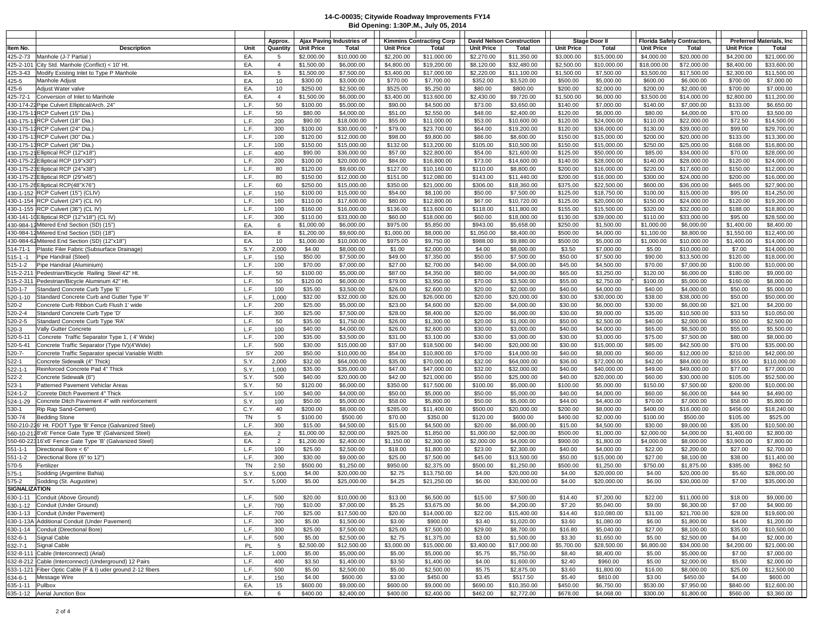|                         |                                                                                                                   |              | Approx.               |                        | Ajax Paving Industries of  |                        | <b>Kimmins Contracting Corp</b> |                       | <b>David Nelson Construction</b> |                        | Stage Door II              |                        | <b>Florida Safety Contractors,</b> |                        | <b>Preferred Materials, Inc.</b> |
|-------------------------|-------------------------------------------------------------------------------------------------------------------|--------------|-----------------------|------------------------|----------------------------|------------------------|---------------------------------|-----------------------|----------------------------------|------------------------|----------------------------|------------------------|------------------------------------|------------------------|----------------------------------|
| ltem No.                | <b>Description</b>                                                                                                | Unit         | Quantity              | <b>Unit Price</b>      | Total                      | <b>Unit Price</b>      | Total                           | <b>Unit Price</b>     | Total                            | <b>Unit Price</b>      | Total                      | <b>Unit Price</b>      | Total                              | <b>Unit Price</b>      | Total                            |
| 425-2-73                | Manhole (J-7 Partial)                                                                                             | EA.          | -5                    | \$2,000.00             | \$10,000.00                | \$2,200.00             | \$11,000.00                     | \$2,270.00            | \$11,350.00                      | \$3,000.00             | \$15,000.00                | \$4,000.00             | \$20,000.00                        | \$4,200.00             | \$21,000.00                      |
| 425-2-101               | City Std. Manhole (Conflict) < 10' Ht.                                                                            | EA.          | $\overline{4}$        | \$1,500.00             | \$6,000.00                 | \$4,800.00             | \$19,200.00                     | \$8,120.00            | \$32,480.00                      | \$2,500.00             | \$10,000.00                | \$18,000.00            | \$72,000.00                        | \$8,400.00             | \$33,600.00                      |
| 425-3-43                | Modify Existing Inlet to Type P Manhole                                                                           | EA.          | 5                     | \$1,500.00             | \$7,500.00                 | \$3,400.00             | \$17,000.00                     | \$2,220.00            | \$11,100.00                      | \$1,500.00             | \$7,500.00                 | \$3,500.00             | \$17,500.00                        | \$2,300.00             | \$11,500.00                      |
| 425-5                   | Manhole Adjust                                                                                                    | EA.          | 10                    | \$300.00               | \$3,000.00                 | \$770.00               | \$7,700.00                      | \$352.00              | \$3,520.00                       | \$500.00               | \$5,000.00                 | \$600.00               | \$6,000.00                         | \$700.00               | \$7,000.00                       |
| 425-6<br>425-72-1       | Adjust Water valve<br>Conversion of Inlet to Manhole                                                              | EA.<br>EA.   | 10<br>$\overline{4}$  | \$250.00<br>\$1,500.00 | \$2,500.00<br>\$6,000.00   | \$525.00<br>\$3,400.00 | \$5,250.00<br>\$13,600.00       | \$80.00<br>\$2,430.00 | \$800.00<br>\$9,720.00           | \$200.00<br>\$1,500.00 | \$2,000.00<br>\$6,000.00   | \$200.00<br>\$3,500.00 | \$2,000.00<br>\$14,000.00          | \$700.00<br>\$2,800.00 | \$7,000.00<br>\$11,200.00        |
|                         | 430-174-22 Pipe Culvert Elliptical/Arch. 24"                                                                      | L.F.         | 50                    | \$100.00               | \$5,000.00                 | \$90.00                | \$4,500.00                      | \$73.00               | \$3,650.00                       | \$140.00               | \$7,000.00                 | \$140.00               | \$7,000.00                         | \$133.00               | \$6,650.00                       |
|                         | 430-175-11RCP Culvert (15" Dia.)                                                                                  | L.F.         | 50                    | \$80.00                | \$4,000.00                 | \$51.00                | \$2,550.00                      | \$48.00               | \$2,400.00                       | \$120.00               | \$6,000.00                 | \$80.00                | \$4,000.00                         | \$70.00                | \$3,500.00                       |
|                         | 430-175-11RCP Culvert (18" Dia.)                                                                                  | L.F.         | 200                   | \$90.00                | \$18,000.00                | \$55.00                | \$11,000.00                     | \$53.00               | \$10,600.00                      | \$120.00               | \$24,000.00                | \$110.00               | \$22,000.00                        | \$72.50                | \$14,500.00                      |
|                         | 430-175-12 RCP Culvert (24" Dia.)                                                                                 | L.F.         | 300                   | \$100.00               | \$30,000.00                | \$79.00                | \$23,700.00                     | \$64.00               | \$19,200.00                      | \$120.00               | \$36,000.00                | \$130.00               | \$39,000.00                        | \$99.00                | \$29,700.00                      |
|                         | 430-175-13 RCP Culvert (30" Dia.                                                                                  | L.F.         | 100                   | \$120.00               | \$12,000.00                | \$98.00                | \$9,800.00                      | \$86.00               | \$8,600.00                       | \$150.00               | \$15,000.00                | \$200.00               | \$20,000.00                        | \$133.00               | \$13,300.00                      |
|                         | 430-175-13 RCP Culvert (36" Dia.)                                                                                 | L.F.         | 100                   | \$150.00               | \$15,000.00                | \$132.00               | \$13,200.00                     | \$105.00              | \$10,500.00                      | \$150.00               | \$15,000.00                | \$250.00               | \$25,000.00                        | \$168.00               | \$16,800.00                      |
|                         | 430-175-21 Elliptical RCP (12"x18")                                                                               | L.F.         | 400                   | \$90.00                | \$36,000.00                | \$57.00                | \$22,800.00                     | \$54.00               | \$21,600.00                      | \$125.00               | \$50,000.00                | \$85.00                | \$34,000.00                        | \$70.00                | \$28,000.00                      |
|                         | 430-175-22 Elliptical RCP (19"x30")                                                                               | L.F.<br>L.F. | 200                   | \$100.00               | \$20,000.00                | \$84.00                | \$16,800.00                     | \$73.00               | \$14,600.00                      | \$140.00               | \$28,000.00                | \$140.00               | \$28,000.00                        | \$120.00               | \$24,000.00                      |
|                         | 430-175-23 Elliptical RCP (24"x38")<br>430-175-23 Elliptical RCP (29"x45")                                        | L.F.         | 80<br>80              | \$120.00<br>\$150.00   | \$9,600.00<br>\$12,000.00  | \$127.00<br>\$151.00   | \$10,160.00<br>\$12,080.00      | \$110.00<br>\$143.00  | \$8,800.00<br>\$11,440.00        | \$200.00<br>\$200.00   | \$16,000.00<br>\$16,000.00 | \$220.00<br>\$300.00   | \$17,600.00<br>\$24,000.00         | \$150.00<br>\$200.00   | \$12,000.00<br>\$16,000.00       |
|                         | 430-175-26 Elliptical RCP(48"X76")                                                                                | L.F.         | 60                    | \$250.00               | \$15,000.00                | \$350.00               | \$21,000.00                     | \$306.00              | \$18,360.00                      | \$375.00               | \$22,500.00                | \$600.00               | \$36,000.00                        | \$465.00               | \$27,900.00                      |
|                         | 430-1-152 RCP Culvert (15") (CLIV)                                                                                | L.F.         | 150                   | \$100.00               | \$15,000.00                | \$54.00                | \$8,100.00                      | \$50.00               | \$7,500.00                       | \$125.00               | \$18,750.00                | \$100.00               | \$15,000.00                        | \$95.00                | \$14,250.00                      |
|                         | 430-1-154 RCP Culvert (24") (CL IV)                                                                               | L.F.         | 160                   | \$110.00               | \$17,600.00                | \$80.00                | \$12,800.00                     | \$67.00               | \$10,720.00                      | \$125.00               | \$20,000.00                | \$150.00               | \$24,000.00                        | \$120.00               | \$19,200.00                      |
|                         | 430-1-155 RCP Culvert (36") (CL IV)                                                                               | L.F.         | 100                   | \$160.00               | \$16,000.00                | \$136.00               | \$13,600.00                     | \$118.00              | \$11,800.00                      | \$155.00               | \$15,500.00                | \$320.00               | \$32,000.00                        | \$188.00               | \$18,800.00                      |
|                         | 430-141-10 Elliptical RCP (12"x18") (CL IV)                                                                       | L.F.         | 300                   | \$110.00               | \$33,000.00                | \$60.00                | \$18,000.00                     | \$60.00               | \$18,000.00                      | \$130.00               | \$39,000.00                | \$110.00               | \$33,000.00                        | \$95.00                | \$28,500.00                      |
|                         | 430-984-12 Mitered End Section (SD) (15")                                                                         | EA.          | 6                     | \$1,000.00             | \$6,000.00                 | \$975.00               | \$5,850.00                      | \$943.00              | \$5,658.00                       | \$250.00               | \$1,500.00                 | \$1,000.00             | \$6,000.00                         | \$1,400.00             | \$8,400.00                       |
|                         | 430-984-12 Mitered End Section (SD) (18")                                                                         | EA.          | 8                     | \$1,200.00             | \$9,600.00                 | \$1,000.00             | \$8,000.00                      | \$1,050.00            | \$8,400.00                       | \$500.00               | \$4,000.00                 | \$1,100.00             | \$8,800.00                         | \$1,550.00             | \$12,400.00                      |
|                         | 430-984-62 Mitered End Section (SD) (12"x18")                                                                     | EA.          | 10                    | \$1,000.00             | \$10,000.00                | \$975.00               | \$9,750.00                      | \$988.00              | \$9,880.00                       | \$500.00               | \$5,000.00                 | \$1,000.00             | \$10,000.00                        | \$1,400.00             | \$14,000.00                      |
| 514-71-1                | Plastic Filer Fabric (Subsurface Drainage)                                                                        | S.Y.<br>L.F. | 2,000<br>150          | \$4.00<br>\$50.00      | \$8,000.00<br>\$7,500.00   | \$1.00<br>\$49.00      | \$2,000.00<br>\$7,350.00        | \$4.00<br>\$50.00     | \$8,000.00<br>\$7,500.00         | \$3.50<br>\$50.00      | \$7,000.00<br>\$7,500.00   | \$5.00<br>\$90.00      | \$10,000.00<br>\$13,500.00         | \$7.00<br>\$120.00     | \$14,000.00<br>\$18,000.00       |
| 515-1 -1<br>515-1-2     | Pipe Handrail (Steel)<br>Pipe Handrail (Aluminium)                                                                | L.F.         | 100                   | \$70.00                | \$7,000.00                 | \$27.00                | \$2,700.00                      | \$40.00               | \$4,000.00                       | \$45.00                | \$4,500.00                 | \$70.00                | \$7,000.00                         | \$100.00               | \$10,000.00                      |
| 515-2-211               | Pedestrian/Bicycle Railing Steel 42" Ht.                                                                          | L.F.         | 50                    | \$100.00               | \$5,000.00                 | \$87.00                | \$4,350.00                      | \$80.00               | \$4,000.00                       | \$65.00                | \$3,250.00                 | \$120.00               | \$6,000.00                         | \$180.00               | \$9,000.00                       |
| 515-2-311               | Pedestrian/Bicycle Aluminum 42" Ht.                                                                               | L.F.         | 50                    | \$120.00               | \$6,000.00                 | \$79.00                | \$3,950.00                      | \$70.00               | \$3,500.00                       | \$55.00                | \$2,750.00                 | \$100.00               | \$5,000.00                         | \$160.00               | \$8,000.00                       |
| 520-1-7                 | Standard Concrete Curb Type 'E'                                                                                   | L.F.         | 100                   | \$35.00                | \$3,500.00                 | \$26.00                | \$2,600.00                      | \$20.00               | \$2,000.00                       | \$40.00                | \$4,000.00                 | \$40.00                | \$4,000.00                         | \$50.00                | \$5,000.00                       |
| 520-1-10                | Standard Concrete Curb and Gutter Type 'F'                                                                        | L.F.         | 1,000                 | \$32.00                | \$32,000.00                | \$26.00                | \$26,000.00                     | \$20.00               | \$20,000.00                      | \$30.00                | \$30,000.00                | \$38.00                | \$38,000.00                        | \$50.00                | \$50,000.00                      |
| 520-2                   | Concrete Curb Ribbon Curb Flush 1' wide                                                                           | L.F.         | 200                   | \$25.00                | \$5,000.00                 | \$23.00                | \$4,600.00                      | \$20.00               | \$4,000.00                       | \$30.00                | \$6,000.00                 | \$30.00                | \$6,000.00                         | \$21.00                | \$4,200.00                       |
| 520-2-4                 | Standard Concrete Curb Type 'D'                                                                                   | L.F.         | 300                   | \$25.00                | \$7,500.00                 | \$28.00                | \$8,400.00                      | \$20.00               | \$6,000.00                       | \$30.00                | \$9,000.00                 | \$35.00                | \$10,500.00                        | \$33.50                | \$10,050.00                      |
| 520-2-5                 | Standard Concrete Curb Type 'RA'                                                                                  | L.F.         | 50                    | \$35.00                | \$1,750.00                 | \$26.00                | \$1,300.00                      | \$20.00               | \$1,000.00                       | \$50.00                | \$2,500.00                 | \$40.00                | \$2,000.00                         | \$50.00                | \$2,500.00                       |
| 520-3                   | Vally Gutter Concrete                                                                                             | L.F.         | 100                   | \$40.00                | \$4,000.00                 | \$26.00                | \$2,600.00                      | \$30.00               | \$3,000.00                       | \$40.00                | \$4,000.00                 | \$65.00                | \$6,500.00                         | \$55.00                | \$5,500.00                       |
| 520-5-11                | Concrete Traffic Separator Type 1, (4' Wide)                                                                      | L.F.         | 100                   | \$35.00                | \$3,500.00                 | \$31.00                | \$3,100.00                      | \$30.00               | \$3,000.00                       | \$30.00                | \$3,000.00                 | \$75.00                | \$7,500.00                         | \$80.00                | \$8,000.00                       |
| 520-5-41<br>$520 - 7 -$ | Concrete Traffic Separator (Type IV)(4'Wide)<br>Concrete Traffic Separator special Variable Width                 | L.F.<br>SY   | 500<br>200            | \$30.00<br>\$50.00     | \$15,000.00<br>\$10,000.00 | \$37.00<br>\$54.00     | \$18,500.00<br>\$10,800.00      | \$40.00<br>\$70.00    | \$20,000.00<br>\$14,000.00       | \$30.00<br>\$40.00     | \$15,000.00<br>\$8,000.00  | \$85.00<br>\$60.00     | \$42,500.00<br>\$12,000.00         | \$70.00<br>\$210.00    | \$35,000.00<br>\$42,000.00       |
| 522-1                   | Concrete Sidewalk (4" Thick)                                                                                      | S.Y.         | 2,000                 | \$32.00                | \$64,000.00                | \$35.00                | \$70,000.00                     | \$32.00               | \$64,000.00                      | \$36.00                | \$72,000.00                | \$42.00                | \$84,000.00                        | \$55.00                | \$110,000.00                     |
| 522-1-1                 | Reinforced Concrete Pad 4" Thick                                                                                  | S.Y.         | 1,000                 | \$35.00                | \$35,000.00                | \$47.00                | \$47,000.00                     | \$32.00               | \$32,000.00                      | \$40.00                | \$40,000.00                | \$49.00                | \$49,000.00                        | \$77.00                | \$77,000.00                      |
| 522-2                   | Concrete Sidewalk (6")                                                                                            | S.Y.         | 500                   | \$40.00                | \$20,000.00                | \$42.00                | \$21,000.00                     | \$50.00               | \$25,000.00                      | \$40.00                | \$20,000.00                | \$60.00                | \$30,000.00                        | \$105.00               | \$52,500.00                      |
| 523-1                   | Patterned Pavement Vehiclar Areas                                                                                 | S.Y.         | 50                    | \$120.00               | \$6,000.00                 | \$350.00               | \$17,500.00                     | \$100.00              | \$5,000.00                       | \$100.00               | \$5,000.00                 | \$150.00               | \$7,500.00                         | \$200.00               | \$10,000.00                      |
| 524-1-2                 | Conrete Ditch Pavement 4" Thick                                                                                   | S.Y.         | 100                   | \$40.00                | \$4,000.00                 | \$50.00                | \$5,000.00                      | \$50.00               | \$5,000.00                       | \$40.00                | \$4,000.00                 | \$60.00                | \$6,000.00                         | \$44.90                | \$4,490.00                       |
| 524-1-29                | Concrete Ditch Pavement 4" with reinforcement                                                                     | S.Y.         | 100                   | \$50.00                | \$5,000.00                 | \$58.00                | \$5,800.00                      | \$50.00               | \$5,000.00                       | \$44.00                | \$4,400.00                 | \$70.00                | \$7,000.00                         | \$58.00                | \$5,800.00                       |
| 530-1                   | Rip Rap Sand-Cement)                                                                                              | C.Y.         | 40                    | \$200.00               | \$8,000.00                 | \$285.00               | \$11,400.00                     | \$500.00              | \$20,000.00                      | \$200.00               | \$8,000.00                 | \$400.00               | \$16,000.00                        | \$456.00               | \$18,240.00                      |
| 530-74                  | <b>Bedding Stone</b>                                                                                              | TN<br>L.F.   | 5                     | \$100.00               | \$500.00                   | \$70.00                | \$350.00                        | \$120.00              | \$600.00                         | \$400.00               | \$2,000.00                 | \$100.00               | \$500.00                           | \$105.00               | \$525.00                         |
|                         | 550-210-226' Ht. FDOT Type 'B' Fence (Galvanized Steel)<br>560-10-2128'x6' Fence Gate Type 'B' (Galvanized Steel) | EA.          | 300<br>$\overline{2}$ | \$15.00<br>\$1,000.00  | \$4,500.00<br>\$2,000.00   | \$15.00<br>\$925.00    | \$4,500.00<br>\$1,850.00        | \$20.00<br>\$1,000.00 | \$6,000.00<br>\$2,000.00         | \$15.00<br>\$500.00    | \$4,500.00<br>\$1,000.00   | \$30.00<br>\$2,000.00  | \$9,000.00<br>\$4,000.00           | \$35.00<br>\$1,400.00  | \$10,500.00<br>\$2,800.00        |
|                         | 550-60-22316'x6' Fence Gate Type 'B' (Galvanized Steel)                                                           | EA.          | 2                     | \$1,200.00             | \$2,400.00                 | \$1,150.00             | \$2,300.00                      | \$2,000.00            | \$4,000.00                       | \$900.00               | \$1,800.00                 | \$4,000.00             | \$8,000.00                         | \$3,900.00             | \$7,800.00                       |
| 551-1-1                 | Directional Bore < 6"                                                                                             | L.F.         | 100                   | \$25.00                | \$2,500.00                 | \$18.00                | \$1,800.00                      | \$23.00               | \$2,300.00                       | \$40.00                | \$4,000.00                 | \$22.00                | \$2,200.00                         | \$27.00                | \$2,700.00                       |
| 551-1-2                 | Directional Bore (6" to 12")                                                                                      | L.F.         | 300                   | \$30.00                | \$9,000.00                 | \$25.00                | \$7,500.00                      | \$45.00               | \$13,500.00                      | \$50.00                | \$15,000.00                | \$27.00                | \$8,100.00                         | \$38.00                | \$11,400.00                      |
| 570-5                   | Fertilizer                                                                                                        | TN           | 2.50                  | \$500.00               | \$1,250.00                 | \$950.00               | \$2,375.00                      | \$500.00              | \$1,250.00                       | \$500.00               | \$1,250.00                 | \$750.00               | \$1,875.00                         | \$385.00               | \$962.50                         |
| 575-1                   | Sodding (Argentine Bahia)                                                                                         | S.Y.         | 5,000                 | \$4.00                 | \$20,000.00                | \$2.75                 | \$13,750.00                     | \$4.00                | \$20,000.00                      | \$4.00                 | \$20,000.00                | \$4.00                 | \$20,000.00                        | \$5.60                 | \$28,000.00                      |
| 575-2                   | Sodding (St. Augustine)                                                                                           | S.Y.         | 5,000                 | \$5.00                 | \$25,000.00                | \$4.25                 | \$21,250.00                     | \$6.00                | \$30,000.00                      | \$4.00                 | \$20,000.00                | \$6.00                 | \$30,000.00                        | \$7.00                 | \$35,000.00                      |
| SIGNALIZATION           |                                                                                                                   |              |                       |                        |                            |                        |                                 |                       |                                  |                        |                            |                        |                                    |                        |                                  |
|                         | 630-1-11 Conduit (Above Ground)                                                                                   | L.F.         | 500                   | \$20.00                | \$10,000.00                | \$13.00                | \$6,500.00                      | \$15.00               | \$7,500.00                       | \$14.40                | \$7,200.00                 | \$22.00                | \$11,000.00                        | \$18.00                | \$9,000.00                       |
|                         | 630-1-12 Conduit (Under Ground)                                                                                   | L.F.<br>L.F. | 700<br>700            | \$10.00                | \$7,000.00                 | \$5.25<br>\$20.00      | \$3,675.00                      | \$6.00                | \$4,200.00                       | \$7.20<br>\$14.40      | \$5,040.00                 | \$9.00<br>\$31.00      | \$6,300.00                         | \$7.00                 | \$4,900.00                       |
|                         | 630-1-13 Conduit (Under Pavement)<br>630-1-13A Additional Conduit (Under Pavement)                                | L.F.         | 300                   | \$25.00<br>\$5.00      | \$17,500.00<br>\$1,500.00  | \$3.00                 | \$14,000.00<br>\$900.00         | \$22.00<br>\$3.40     | \$15,400.00<br>\$1,020.00        | \$3.60                 | \$10,080.00<br>\$1,080.00  | \$6.00                 | \$21,700.00<br>\$1,800.00          | \$28.00<br>\$4.00      | \$19,600.00<br>\$1,200.00        |
|                         | 630-1-14 Conduit (Directional Bore)                                                                               | L.F.         | 300                   | \$25.00                | \$7,500.00                 | \$25.00                | \$7,500.00                      | \$29.00               | \$8,700.00                       | \$16.80                | \$5,040.00                 | \$27.00                | \$8,100.00                         | \$35.00                | \$10,500.00                      |
|                         | 632-6-1 Signal Cable                                                                                              | L.F.         | 500                   | \$5.00                 | \$2,500.00                 | \$2.75                 | \$1,375.00                      | \$3.00                | \$1,500.00                       | \$3.30                 | \$1,650.00                 | \$5.00                 | \$2,500.00                         | \$4.00                 | \$2,000.00                       |
|                         | 632-7-1 Signal Cable                                                                                              | PL           | 5                     | \$2,500.00             | \$12,500.00                | \$3,000.00             | \$15,000.00                     | \$3,400.00            | \$17,000.00                      | \$5,700.00             | \$28,500.00                | \$6,800.00             | \$34,000.00                        | \$4,200.00             | \$21,000.00                      |
|                         | 632-8-111 Cable (Interconnect) (Arial)                                                                            | L.F.         | 1,000                 | \$5.00                 | \$5,000.00                 | \$5.00                 | \$5,000.00                      | \$5.75                | \$5,750.00                       | \$8.40                 | \$8,400.00                 | \$5.00                 | \$5,000.00                         | \$7.00                 | \$7,000.00                       |
|                         | 632-8-212 Cable (Interconnect) (Underground) 12 Pairs                                                             | L.F.         | 400                   | \$3.50                 | \$1,400.00                 | \$3.50                 | \$1,400.00                      | \$4.00                | \$1,600.00                       | \$2.40                 | \$960.00                   | \$5.00                 | \$2,000.00                         | \$5.00                 | \$2,000.00                       |
|                         | 633-1-121 Fiber Optic Cable (F & I) uder ground 2-12 fibers                                                       | L.F.         | 500                   | \$5.00                 | \$2,500.00                 | \$5.00                 | \$2,500.00                      | \$5.75                | \$2,875.00                       | \$3.60                 | \$1,800.00                 | \$16.00                | \$8,000.00                         | \$25.00                | \$12,500.00                      |
| 634-6-1                 | Message Wire                                                                                                      | L.F.         | 150                   | \$4.00                 | \$600.00                   | \$3.00                 | \$450.00                        | \$3.45                | \$517.50                         | \$5.40                 | \$810.00                   | \$3.00                 | \$450.00                           | \$4.00                 | \$600.00                         |
| 635-1-11 Pullbox        |                                                                                                                   | EA.          | 15                    | \$600.00               | \$9,000.00                 | \$600.00               | \$9,000.00                      | \$690.00              | \$10,350.00                      | \$450.00               | \$6,750.00                 | \$530.00               | \$7,950.00                         | \$840.00               | \$12,600.00                      |
|                         | 635-1-12 Aerial Junction Box                                                                                      | EA.          | 6                     | \$400.00               | \$2,400.00                 | \$400.00               | \$2,400.00                      | \$462.00              | \$2,772.00                       | \$678.00               | \$4,068.00                 | \$300.00               | \$1,800.00                         | \$560.00               | \$3,360.00                       |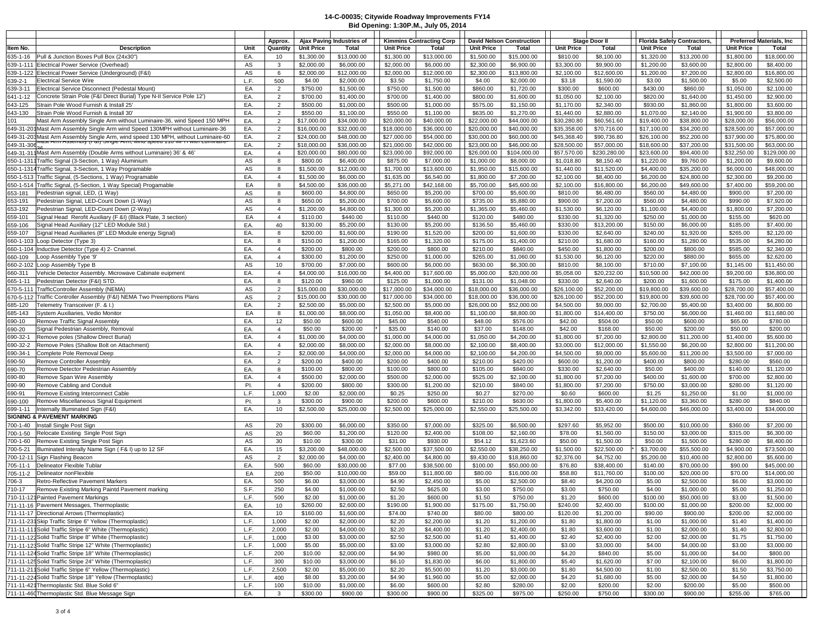|            |                                                                                                                                                                          |      | Approx.        |                   | Ajax Paving Industries of |                   | <b>Kimmins Contracting Corp</b> | <b>David Nelson Construction</b> |              |                   | Stage Door II |                   | <b>Florida Safety Contractors,</b> |             | <b>Preferred Materials, Inc.</b> |
|------------|--------------------------------------------------------------------------------------------------------------------------------------------------------------------------|------|----------------|-------------------|---------------------------|-------------------|---------------------------------|----------------------------------|--------------|-------------------|---------------|-------------------|------------------------------------|-------------|----------------------------------|
| ltem No.   | Description                                                                                                                                                              | Unit | Quantity       | <b>Unit Price</b> | Total                     | <b>Unit Price</b> | Total                           | <b>Unit Price</b>                | Total        | <b>Unit Price</b> | Total         | <b>Unit Price</b> | Total                              | Unit Price  | Total                            |
| 635-1-16   | Pull & Junction Boxes Pull Box (24x30"                                                                                                                                   | EA.  | 10             | \$1,300.00        | \$13,000.00               | \$1,300.00        | \$13,000.00                     | \$1,500.00                       | \$15,000.00  | \$810.00          | \$8,100.00    | \$1,320.00        | \$13,200.00                        | \$1,800.00  | \$18,000.00                      |
|            |                                                                                                                                                                          |      |                |                   |                           |                   |                                 |                                  |              |                   |               |                   |                                    |             |                                  |
|            | 639-1-111 Electrical Power Service (Overhead)                                                                                                                            | AS   | 3              | \$2,000.00        | \$6,000.00                | \$2,000.00        | \$6,000.00                      | \$2,300.00                       | \$6,900.00   | \$3,300.00        | \$9,900.00    | \$1,200.00        | \$3,600.00                         | \$2,800.00  | \$8,400.00                       |
|            | 639-1-122 Electrical Power Service (Underground) (F&I)                                                                                                                   | AS   | 6              | \$2,000.00        | \$12,000.00               | \$2,000.00        | \$12,000.00                     | \$2,300.00                       | \$13,800.00  | \$2,100.00        | \$12,600.00   | \$1,200.00        | \$7,200.00                         | \$2,800.00  | \$16,800.00                      |
| 639-2-1    | <b>Electrical Service Wire</b>                                                                                                                                           | L.F. | 500            | \$4.00            | \$2,000.00                | \$3.50            | \$1,750.00                      | \$4.00                           | \$2,000.00   | \$3.18            | \$1,590.00    | \$3.00            | \$1,500.00                         | \$5.00      | \$2,500.00                       |
|            |                                                                                                                                                                          |      |                |                   |                           |                   |                                 |                                  |              |                   |               |                   |                                    |             |                                  |
| 639-3-11   | Electrical Service Disconnect (Pedestal Mount)                                                                                                                           | EA   | $\overline{2}$ | \$750.00          | \$1,500.00                | \$750.00          | \$1,500.00                      | \$860.00                         | \$1,720.00   | \$300.00          | \$600.00      | \$430.00          | \$860.00                           | \$1,050.00  | \$2,100.00                       |
| 641-1-12   | Concrete Strain Pole (F&I Direct Burial) Type N-II Service Pole 12')                                                                                                     | EA.  | $\overline{2}$ | \$700.00          | \$1,400.00                | \$700.00          | \$1,400.00                      | \$800.00                         | \$1,600.00   | \$1,050.00        | \$2,100.00    | \$820.00          | \$1,640.00                         | \$1,450.00  | \$2,900.00                       |
|            |                                                                                                                                                                          |      |                |                   |                           |                   |                                 |                                  |              |                   |               |                   |                                    |             |                                  |
| 643-125    | Strain Pole Wood Furnish & Install 25'                                                                                                                                   | EA.  | $\overline{2}$ | \$500.00          | \$1,000.00                | \$500.00          | \$1,000.00                      | \$575.00                         | \$1,150.00   | \$1,170.00        | \$2,340.00    | \$930.00          | \$1,860.00                         | \$1,800.00  | \$3,600.00                       |
| 643-130    | Strain Pole Wood Furnish & Install 30'                                                                                                                                   | EA.  | $\overline{2}$ | \$550.00          | \$1,100.00                | \$550.00          | \$1,100.00                      | \$635.00                         | \$1,270.00   | \$1,440.00        | \$2,880.00    | \$1,070.00        | \$2,140.00                         | \$1,900.00  | \$3,800.00                       |
| 101        | Mast Arm Assembly Single Arm without Luminaire-36, wind Speed 150 MPH                                                                                                    | EA.  | $\overline{2}$ | \$17,000.00       | \$34,000.00               | \$20,000.00       | \$40,000.00                     | \$22,000.00                      | \$44,000.00  | \$30,280.80       | \$60,561.60   | \$19,400.00       | \$38,800.00                        | \$28,000.00 | \$56,000.00                      |
|            |                                                                                                                                                                          |      |                |                   |                           |                   |                                 |                                  |              |                   |               |                   |                                    |             |                                  |
|            | 649-31-201Mast Arm Assembly Single Arm wind Speed 130MPH without Luminaire-36                                                                                            | EA.  | $\overline{2}$ | \$16,000.00       | \$32,000.00               | \$18,000.00       | \$36,000.00                     | \$20,000.00                      | \$40,000.00  | \$35,358.00       | \$70,716.00   | \$17,100.00       | \$34,200.00                        | \$28,500.00 | \$57,000.00                      |
|            | 649-31-203Mast Arm Assembly Single Arm, wind speed 130 MPH, without Luminaire-60<br>รู40.21.204 พ่อระ Arm Assembly (คิด) Single Arm, พ่ากด speed 110 พิเศษ พ่าก เอเทพเลย | EA.  | $\overline{2}$ | \$24,000.00       | \$48,000.00               | \$27,000.00       | \$54,000.00                     | \$30,000.00                      | \$60,000.00  | \$45,368.40       | \$90,736.80   | \$26,100.00       | \$52,200.00                        | \$37,900.00 | \$75,800.00                      |
| 649-31-306 |                                                                                                                                                                          | EA.  | $\overline{2}$ | \$18,000.00       | \$36,000.00               | \$21,000.00       | \$42,000.00                     | \$23,000.00                      | \$46,000.00  | \$28,500.00       | \$57,000.00   | \$18,600.00       | \$37,200.00                        | \$31,500.00 | \$63,000.00                      |
|            |                                                                                                                                                                          |      |                |                   |                           |                   |                                 |                                  |              |                   |               |                   |                                    |             |                                  |
|            | 649-31-311 Mast Arm Assembly (Double Arms without Luminaire) 36' & 46'                                                                                                   | EA.  | $\overline{4}$ | \$20,000.00       | \$80,000.00               | \$23,000.00       | \$92,000.00                     | \$26,000.00                      | \$104,000.00 | \$57,570.00       | \$230,280.00  | \$23,600.00       | \$94,400.00                        | \$32,250.00 | \$129,000.00                     |
|            | 650-1-1311 Traffic Signal (3-Section, 1 Way) Aluminium                                                                                                                   | AS   | 8              | \$800.00          | \$6,400.00                | \$875.00          | \$7,000.00                      | \$1,000.00                       | \$8,000.00   | \$1,018.80        | \$8,150.40    | \$1,220.00        | \$9,760.00                         | \$1,200.00  | \$9,600.00                       |
|            | 650-1-1314 Traffic Signal, 3-Section, 1 Way Programable                                                                                                                  | AS   | 8              | \$1,500.00        | \$12,000.00               | \$1,700.00        | \$13,600.00                     | \$1,950.00                       | \$15,600.00  | \$1,440.00        | \$11,520.00   | \$4,400.00        | \$35,200.00                        | \$6,000.00  | \$48,000.00                      |
|            |                                                                                                                                                                          |      |                |                   |                           |                   |                                 |                                  |              |                   |               |                   |                                    |             |                                  |
|            | 650-1-513 Traffic Signal, (5-Sections, 1 Way) Programable                                                                                                                | EA.  | $\overline{4}$ | \$1,500.00        | \$6,000.00                | \$1,635.00        | \$6,540.00                      | \$1,800.00                       | \$7,200.00   | \$2,100.00        | \$8,400.00    | \$6,200.00        | \$24,800.00                        | \$2,300.00  | \$9,200.00                       |
|            | 650-1-514 Traffic Signal, (5-Section, 1 Way Special) Progamable                                                                                                          | EA   | 8              | \$4,500.00        | \$36,000.00               | \$5,271.00        | \$42,168.00                     | \$5,700.00                       | \$45,600.00  | \$2,100.00        | \$16,800.00   | \$6,200.00        | \$49,600.00                        | \$7,400.00  | \$59,200.00                      |
| 653-181    | Pedestrian signal, LED, (1 Way)                                                                                                                                          | AS   | 8              | \$600.00          | \$4,800.00                | \$650.00          | \$5,200.00                      | \$700.00                         | \$5,600.00   | \$810.00          | \$6,480.00    | \$560.00          | \$4,480.00                         | \$900.00    | \$7,200.00                       |
|            |                                                                                                                                                                          |      |                |                   |                           |                   |                                 |                                  |              |                   |               |                   |                                    |             |                                  |
| 653-191    | Pedestrian Signal, LED-Count Down (1-Way)                                                                                                                                | AS   | 8              | \$650.00          | \$5,200.00                | \$700.00          | \$5,600.00                      | \$735.00                         | \$5,880.00   | \$900.00          | \$7,200.00    | \$560.00          | \$4,480.00                         | \$990.00    | \$7,920.00                       |
| 653-192    | Pedestrian Signal, LED-Count Down (2-Way)                                                                                                                                | AS   | $\overline{4}$ | \$1,200.00        | \$4,800.00                | \$1,300.00        | \$5,200.00                      | \$1,365.00                       | \$5,460.00   | \$1,530.00        | \$6,120.00    | \$1,100.00        | \$4,400.00                         | \$1,800.00  | \$7,200.00                       |
| 659-101    | Signal Head Rerofit Auxiliary (F &I) (Black Plate, 3 section)                                                                                                            | EA   | $\overline{4}$ | \$110.00          | \$440.00                  | \$110.00          | \$440.00                        | \$120.00                         | \$480.00     | \$330.00          | \$1,320.00    | \$250.00          | \$1,000.00                         | \$155.00    | \$620.00                         |
|            |                                                                                                                                                                          |      |                |                   |                           |                   |                                 |                                  |              |                   |               |                   |                                    |             |                                  |
| 659-106    | Signal Head Auxiliary (12" LED Module Std.)                                                                                                                              | EA.  | 40             | \$130.00          | \$5,200.00                | \$130.00          | \$5,200.00                      | \$136.50                         | \$5,460.00   | \$330.00          | \$13,200.00   | \$150.00          | \$6,000.00                         | \$185.00    | \$7,400.00                       |
| 659-107    | Signal Head Auxiliaries (8" LED Module energy Signal)                                                                                                                    | EA.  | 8              | \$200.00          | \$1,600.00                | \$190.00          | \$1,520.00                      | \$200.00                         | \$1,600.00   | \$330.00          | \$2,640.00    | \$240.00          | \$1,920.00                         | \$265.00    | \$2,120.00                       |
|            |                                                                                                                                                                          |      |                | \$150.00          | \$1,200.00                |                   |                                 |                                  | \$1,400.00   | \$210.00          |               |                   |                                    | \$535.00    |                                  |
|            | 660-1-103 Loop Detector (Type 3)                                                                                                                                         | EA.  | 8              |                   |                           | \$165.00          | \$1,320.00                      | \$175.00                         |              |                   | \$1,680.00    | \$160.00          | \$1,280.00                         |             | \$4,280.00                       |
| 660-1-104  | Inductive Detector (Type 4) 2- Cnannel.                                                                                                                                  | EA.  | $\overline{4}$ | \$200.00          | \$800.00                  | \$200.00          | \$800.00                        | \$210.00                         | \$840.00     | \$450.00          | \$1,800.00    | \$200.00          | \$800.00                           | \$585.00    | \$2,340.00                       |
| 660-109    | Loop Assembly Type '9                                                                                                                                                    | EA.  | $\overline{4}$ | \$300.00          | \$1,200.00                | \$250.00          | \$1,000.00                      | \$265.00                         | \$1,060.00   | \$1,530.00        | \$6,120.00    | \$220.00          | \$880.00                           | \$655.00    | \$2,620.00                       |
|            | Loop Assembly Type B                                                                                                                                                     | AS   | 10             | \$700.00          | \$7,000.00                | \$600.00          | \$6,000.00                      | \$630.00                         | \$6,300.00   | \$810.00          | \$8,100.00    | \$710.00          | \$7,100.00                         | \$1,145.00  | \$11,450.00                      |
| 660-2-102  |                                                                                                                                                                          |      |                |                   |                           |                   |                                 |                                  |              |                   |               |                   |                                    |             |                                  |
| 660-311    | Vehicle Detector Assembly. Microwave Cabinate euipment                                                                                                                   | EA.  | $\overline{4}$ | \$4,000.00        | \$16,000.00               | \$4,400.00        | \$17,600.00                     | \$5,000.00                       | \$20,000.00  | \$5,058.00        | \$20,232.00   | \$10,500.00       | \$42,000.00                        | \$9,200.00  | \$36,800.00                      |
| 665-1-11   | Pedestrian Detector (F&I) STD.                                                                                                                                           | EA.  | 8              | \$120.00          | \$960.00                  | \$125.00          | \$1,000.00                      | \$131.00                         | \$1,048.00   | \$330.00          | \$2,640.00    | \$200.00          | \$1,600.00                         | \$175.00    | \$1,400.00                       |
|            | 670-5-111 TrafficController Assembly (NEMA)                                                                                                                              | AS   | $\overline{2}$ | \$15,000.00       | \$30,000.00               | \$17,000.00       | \$34,000.00                     | \$18,000.00                      | \$36,000.00  | \$26,100.00       | \$52,200.00   | \$19,800.00       | \$39,600.00                        | \$28,700.00 | \$57,400.00                      |
|            |                                                                                                                                                                          |      |                |                   |                           |                   |                                 |                                  |              |                   |               |                   |                                    |             |                                  |
|            | 670-5-112 Traffic Controller Assembly (F&I) NEMA Two Preemptions Plans                                                                                                   | AS   | 2              | \$15,000.00       | \$30,000.00               | \$17,000.00       | \$34,000.00                     | \$18,000.00                      | \$36,000.00  | \$26,100.00       | \$52,200.00   | \$19,800.00       | \$39,600.00                        | \$28,700.00 | \$57,400.00                      |
| 685-120    | Telemetry Transceiver (F. & I.)                                                                                                                                          | EA.  | $\overline{2}$ | \$2,500.00        | \$5,000.00                | \$2,500.00        | \$5,000.00                      | \$26,000.00                      | \$52,000.00  | \$4,500.00        | \$9,000.00    | \$2,700.00        | \$5,400.00                         | \$3,400.00  | \$6,800.00                       |
|            |                                                                                                                                                                          | EA   | 8              |                   |                           |                   |                                 | \$1,100.00                       |              |                   |               |                   | \$6,000.00                         | \$1,460.00  |                                  |
| 685-143    | System Auxiliaries, Vedio Monitor                                                                                                                                        |      |                | \$1,000.00        | \$8,000.00                | \$1,050.00        | \$8,400.00                      |                                  | \$8,800.00   | \$1,800.00        | \$14,400.00   | \$750.00          |                                    |             | \$11,680.00                      |
| 690-10     | Remove Traffic Signal Assembly                                                                                                                                           | EA.  | 12             | \$50.00           | \$600.00                  | \$45.00           | \$540.00                        | \$48.00                          | \$576.00     | \$42.00           | \$504.00      | \$50.00           | \$600.00                           | \$65.00     | \$780.00                         |
| 690-20     | Signal Pedestrian Assembly, Removal                                                                                                                                      | EA.  | $\overline{4}$ | \$50.00           | \$200.00                  | \$35.00           | \$140.00                        | \$37.00                          | \$148.00     | \$42.00           | \$168.00      | \$50.00           | \$200.00                           | \$50.00     | \$200.00                         |
|            |                                                                                                                                                                          |      |                |                   |                           |                   |                                 |                                  |              |                   |               |                   |                                    |             |                                  |
| 690-32-1   | Remove poles (Shallow Direct Burial)                                                                                                                                     | EA.  | $\overline{4}$ | \$1,000.00        | \$4,000.00                | \$1,000.00        | \$4,000.00                      | \$1,050.00                       | \$4,200.00   | \$1,800.00        | \$7,200.00    | \$2,800.00        | \$11,200.00                        | \$1,400.00  | \$5,600.00                       |
| 690-32-2   | Remove Poles (Shallow Bolt on Attachment)                                                                                                                                | EA.  | $\overline{4}$ | \$2,000.00        | \$8,000.00                | \$2,000.00        | \$8,000.00                      | \$2,100.00                       | \$8,400.00   | \$3,000.00        | \$12,000.00   | \$1,550.00        | \$6,200.00                         | \$2,800.00  | \$11,200.00                      |
| 690-34-1   | Complete Pole Removal Deep                                                                                                                                               | EA.  | $\overline{2}$ | \$2,000.00        | \$4,000.00                | \$2,000.00        | \$4,000.00                      | \$2,100.00                       | \$4,200.00   | \$4,500.00        | \$9,000.00    | \$5,600.00        | \$11,200.00                        | \$3,500.00  | \$7,000.00                       |
|            |                                                                                                                                                                          |      |                |                   |                           |                   |                                 |                                  |              |                   |               |                   |                                    |             |                                  |
| 690-50     | <b>Remove Controller Assembly</b>                                                                                                                                        | EA.  | $\overline{2}$ | \$200.00          | \$400.00                  | \$200.00          | \$400.00                        | \$210.00                         | \$420.00     | \$600.00          | \$1,200.00    | \$400.00          | \$800.00                           | \$280.00    | \$560.00                         |
| 690-70     | Remove Detector Pedestrian Assembly                                                                                                                                      | EA.  | 8              | \$100.00          | \$800.00                  | \$100.00          | \$800.00                        | \$105.00                         | \$840.00     | \$330.00          | \$2,640.00    | \$50.00           | \$400.00                           | \$140.00    | \$1,120.00                       |
| 690-80     | Remove Span Wire Assembly                                                                                                                                                | EA.  | $\overline{4}$ | \$500.00          | \$2,000.00                | \$500.00          | \$2,000.00                      | \$525.00                         | \$2,100.00   | \$1,800.00        | \$7,200.00    | \$400.00          | \$1,600.00                         | \$700.00    | \$2,800.00                       |
|            |                                                                                                                                                                          |      |                |                   |                           |                   |                                 |                                  |              |                   |               |                   |                                    |             |                                  |
| 690-90     | Remove Cabling and Conduit                                                                                                                                               | PI.  | $\overline{4}$ | \$200.00          | \$800.00                  | \$300.00          | \$1,200.00                      | \$210.00                         | \$840.00     | \$1,800.00        | \$7,200.00    | \$750.00          | \$3,000.00                         | \$280.00    | \$1,120.00                       |
| 690-91     | Remove Existing Interconnect Cable                                                                                                                                       | L.F. | 1,000          | \$2.00            | \$2,000.00                | \$0.25            | \$250.00                        | \$0.27                           | \$270.00     | \$0.60            | \$600.00      | \$1.25            | \$1,250.00                         | \$1.00      | \$1,000.00                       |
| 690-100    | Remove Miscellaneous Signal Equipment                                                                                                                                    | PI.  | 3              | \$300.00          | \$900.00                  | \$200.00          | \$600.00                        | \$210.00                         | \$630.00     | \$1,800.00        | \$5,400.00    | \$1,120.00        | \$3,360.00                         | \$280.00    | \$840.00                         |
|            |                                                                                                                                                                          |      |                |                   |                           |                   |                                 |                                  |              |                   |               |                   |                                    |             |                                  |
| 699-1-11   | Internally Illuminated Sign (F&I)                                                                                                                                        | EA.  | 10             | \$2,500.00        | \$25,000.00               | \$2,500.00        | \$25,000.00                     | \$2,550.00                       | \$25,500.00  | \$3,342.00        | \$33,420.00   | \$4,600.00        | \$46,000.00                        | \$3,400.00  | \$34,000.00                      |
|            | SIGNING & PAVEMENT MARKING                                                                                                                                               |      |                |                   |                           |                   |                                 |                                  |              |                   |               |                   |                                    |             |                                  |
| 700-1-40   | Install Single Post Sign                                                                                                                                                 | AS   | 20             | \$300.00          | \$6,000.00                | \$350.00          | \$7,000.00                      | \$325.00                         | \$6,500.00   | \$297.60          | \$5,952.00    | \$500.00          | \$10,000.00                        | \$360.00    | \$7,200.00                       |
|            |                                                                                                                                                                          |      |                |                   |                           |                   |                                 |                                  |              |                   |               |                   |                                    |             |                                  |
| 700-1-50   | Relocate Existing Single Post Sign                                                                                                                                       | AS   | 20             | \$60.00           | \$1,200.00                | \$120.00          | \$2,400.00                      | \$108.00                         | \$2,160.00   | \$78.00           | \$1,560.00    | \$150.00          | \$3,000.00                         | \$315.00    | \$6,300.00                       |
| 700-1-60   | Remove Existing Single Post Sign                                                                                                                                         | AS   | 30             | \$10.00           | \$300.00                  | \$31.00           | \$930.00                        | \$54.12                          | \$1,623.60   | \$50.00           | \$1,500.00    | \$50.00           | \$1,500.00                         | \$280.00    | \$8,400.00                       |
| 700-5-21   | Illuminated Interally Name Sign (F& I) up to 12 SF                                                                                                                       | EA.  | 15             | \$3,200.00        | \$48,000.00               | \$2,500.00        | \$37,500.00                     | \$2,550.00                       | \$38,250.00  | \$1,500.00        | \$22,500.00   | \$3,700.00        | \$55,500.00                        | \$4,900.00  | \$73,500.00                      |
|            | 700-12-11 Sign Flashing Beacon                                                                                                                                           | AS   | 2              | \$2,000.00        | \$4,000.00                | \$2,400.00        | \$4,800.00                      | \$9,430.00                       | \$18,860.00  | \$2,376.00        | \$4,752.00    | \$5,200.00        | \$10,400.00                        | \$2,800.00  | \$5,600.00                       |
|            |                                                                                                                                                                          |      |                |                   |                           |                   |                                 |                                  |              |                   |               |                   |                                    |             |                                  |
| 705-11-1   | Delineator Flexible Tublar                                                                                                                                               | EA.  | 500            | \$60.00           | \$30,000.00               | \$77.00           | \$38,500.00                     | \$100.00                         | \$50,000.00  | \$76.80           | \$38,400.00   | \$140.00          | \$70,000.00                        | \$90.00     | \$45,000.00                      |
| 705-11-2   | Delineator nonFlexible                                                                                                                                                   | EA   | 200            | \$50.00           | \$10,000.00               | \$59.00           | \$11,800.00                     | \$80.00                          | \$16,000.00  | \$58.80           | \$11,760.00   | \$100.00          | \$20,000.00                        | \$70.00     | \$14,000.00                      |
|            | Retro-Reflective Pavement Markers                                                                                                                                        | EA.  | 500            | \$6.00            | \$3,000.00                | \$4.90            | \$2,450.00                      | \$5.00                           | \$2,500.00   | \$8.40            | \$4,200.00    | \$5.00            | \$2,500.00                         | \$6.00      | \$3,000.00                       |
| 706-3      |                                                                                                                                                                          |      |                |                   |                           |                   |                                 |                                  |              |                   |               |                   |                                    |             |                                  |
|            | 710-17 Remove Existing Marking Paintd Pavement marking                                                                                                                   | S.F. | 250            | \$4.00            | \$1,000.00                | \$2.50            | \$625.00                        | \$3.00                           | \$750.00     | \$3.00            | \$750.00      | \$4.00            | \$1,000.00                         | \$5.00      | \$1,250.00                       |
|            | 710-11-121 Painted Pavement Markings                                                                                                                                     | L.F. | 500            | \$2.00            | \$1,000.00                | \$1.20            | \$600.00                        | \$1.50                           | \$750.00     | \$1.20            | \$600.00      | \$100.00          | \$50,000.00                        | \$3.00      | \$1,500.00                       |
|            | 711-11-16 Pavement Messages, Thermoplastic                                                                                                                               | EA.  |                | \$260.00          | \$2,600.00                | \$190.00          | \$1,900.00                      | \$175.00                         | \$1,750.00   | \$240.00          | \$2,400.00    | \$100.00          | \$1,000.00                         | \$200.00    | \$2,000.00                       |
|            |                                                                                                                                                                          |      | 10             |                   |                           |                   |                                 |                                  |              |                   |               |                   |                                    |             |                                  |
|            | 711-11-17 Directional Arrows (Thermoplastic)                                                                                                                             | EA.  | 10             | \$160.00          | \$1,600.00                | \$74.00           | \$740.00                        | \$80.00                          | \$800.00     | \$120.00          | \$1,200.00    | \$90.00           | \$900.00                           | \$200.00    | \$2,000.00                       |
|            | 711-11-231 Skip Traffic Stripe 6" Yellow (Thermoplastic)                                                                                                                 | L.F. | 1,000          | \$2.00            | \$2,000.00                | \$2.20            | \$2,200.00                      | \$1.20                           | \$1,200.00   | \$1.80            | \$1,800.00    | \$1.00            | \$1,000.00                         | \$1.40      | \$1,400.00                       |
|            |                                                                                                                                                                          | L.F. |                | \$2.00            |                           |                   | \$4,400.00                      |                                  | \$2,400.00   |                   |               |                   |                                    |             |                                  |
|            | 711-11-111Solid Traffic Stripe 6" White (Thermoplastic)                                                                                                                  |      | 2,000          |                   | \$4,000.00                | \$2.20            |                                 | \$1.20                           |              | \$1.80            | \$3,600.00    | \$1.00            | \$2,000.00                         | \$1.40      | \$2,800.00                       |
|            | 711-11-122 Solid Traffic Stripe 8" White (Thermoplastic)                                                                                                                 | L.F. | 1,000          | \$3.00            | \$3,000.00                | \$2.50            | \$2,500.00                      | \$1.40                           | \$1,400.00   | \$2.40            | \$2,400.00    | \$2.00            | \$2,000.00                         | \$1.75      | \$1,750.00                       |
|            | 711-11-123 Solid Traffic Stripe 12" White (Thermoplastic)                                                                                                                | L.F. | 1,000          | \$5.00            | \$5,000.00                | \$3.00            | \$3,000.00                      | \$2.80                           | \$2,800.00   | \$3.00            | \$3,000.00    | \$4.00            | \$4,000.00                         | \$3.00      | \$3,000.00                       |
|            |                                                                                                                                                                          | L.F. | 200            |                   |                           |                   |                                 |                                  |              |                   |               |                   |                                    |             |                                  |
|            | 711-11-124 Solid Traffic Stripe 18" White (Thermoplastic)                                                                                                                |      |                | \$10.00           | \$2,000.00                | \$4.90            | \$980.00                        | \$5.00                           | \$1,000.00   | \$4.20            | \$840.00      | \$5.00            | \$1,000.00                         | \$4.00      | \$800.00                         |
|            | 711-11-125 Solid Traffic Stripe 24" White (Thermoplastic)                                                                                                                | L.F. | 300            | \$10.00           | \$3,000.00                | \$6.10            | \$1,830.00                      | \$6.00                           | \$1,800.00   | \$5.40            | \$1,620.00    | \$7.00            | \$2,100.00                         | \$6.00      | \$1,800.00                       |
|            | 711-11-211 Solid Traffic Stripe 6" Yellow (Thermoplastic)                                                                                                                | L.F. | 2,500          | \$2.00            | \$5,000.00                | \$2.20            | \$5,500.00                      | \$1.20                           | \$3,000.00   | \$1.80            | \$4,500.00    | \$1.00            | \$2,500.00                         | \$1.50      | \$3,750.00                       |
|            | 711-11-224 Solid Traffic Stripe 18" Yellow (Thermoplastic)                                                                                                               | L.F. | 400            | \$8.00            | \$3,200.00                | \$4.90            | \$1,960.00                      | \$5.00                           | \$2,000.00   | \$4.20            | \$1,680.00    | \$5.00            | \$2,000.00                         | \$4.50      | \$1,800.00                       |
|            |                                                                                                                                                                          |      |                |                   |                           |                   |                                 |                                  |              |                   |               |                   |                                    |             |                                  |
|            | 711-11-421 Thermoplastic Std. Blue Solid 6"                                                                                                                              | L.F. | 100            | \$10.00           | \$1,000.00                | \$6.00            | \$600.00                        | \$2.80                           | \$280.00     | \$2.00            | \$200.00      | \$2.00            | \$200.00                           | \$5.00      | \$500.00                         |
|            | 711-11-460 Thermoplastic Std. Blue Message Sign                                                                                                                          | EA.  | 3              | \$300.00          | \$900.00                  | \$300.00          | \$900.00                        | \$325.00                         | \$975.00     | \$250.00          | \$750.00      | \$300.00          | \$900.00                           | \$255.00    | \$765.00                         |